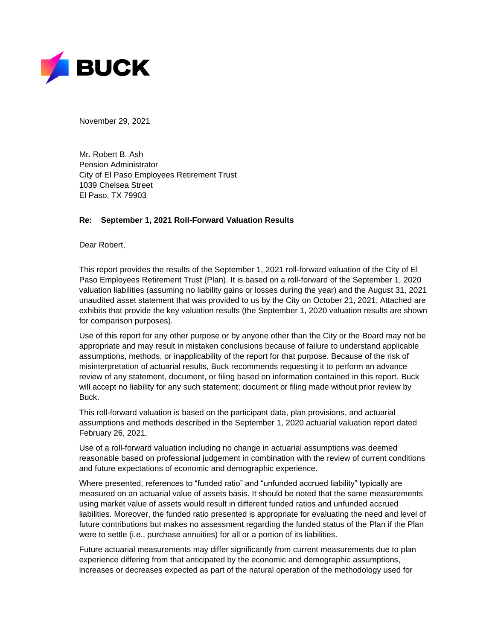

November 29, 2021

Mr. Robert B. Ash Pension Administrator City of El Paso Employees Retirement Trust 1039 Chelsea Street El Paso, TX 79903

#### **Re: September 1, 2021 Roll-Forward Valuation Results**

Dear Robert,

This report provides the results of the September 1, 2021 roll-forward valuation of the City of El Paso Employees Retirement Trust (Plan). It is based on a roll-forward of the September 1, 2020 valuation liabilities (assuming no liability gains or losses during the year) and the August 31, 2021 unaudited asset statement that was provided to us by the City on October 21, 2021. Attached are exhibits that provide the key valuation results (the September 1, 2020 valuation results are shown for comparison purposes).

Use of this report for any other purpose or by anyone other than the City or the Board may not be appropriate and may result in mistaken conclusions because of failure to understand applicable assumptions, methods, or inapplicability of the report for that purpose. Because of the risk of misinterpretation of actuarial results, Buck recommends requesting it to perform an advance review of any statement, document, or filing based on information contained in this report. Buck will accept no liability for any such statement; document or filing made without prior review by Buck.

This roll-forward valuation is based on the participant data, plan provisions, and actuarial assumptions and methods described in the September 1, 2020 actuarial valuation report dated February 26, 2021.

Use of a roll-forward valuation including no change in actuarial assumptions was deemed reasonable based on professional judgement in combination with the review of current conditions and future expectations of economic and demographic experience.

Where presented, references to "funded ratio" and "unfunded accrued liability" typically are measured on an actuarial value of assets basis. It should be noted that the same measurements using market value of assets would result in different funded ratios and unfunded accrued liabilities. Moreover, the funded ratio presented is appropriate for evaluating the need and level of future contributions but makes no assessment regarding the funded status of the Plan if the Plan were to settle (i.e., purchase annuities) for all or a portion of its liabilities.

Future actuarial measurements may differ significantly from current measurements due to plan experience differing from that anticipated by the economic and demographic assumptions, increases or decreases expected as part of the natural operation of the methodology used for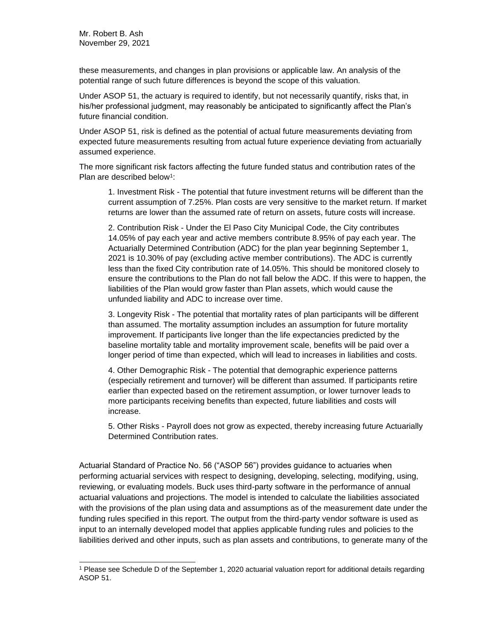these measurements, and changes in plan provisions or applicable law. An analysis of the potential range of such future differences is beyond the scope of this valuation.

Under ASOP 51, the actuary is required to identify, but not necessarily quantify, risks that, in his/her professional judgment, may reasonably be anticipated to significantly affect the Plan's future financial condition.

Under ASOP 51, risk is defined as the potential of actual future measurements deviating from expected future measurements resulting from actual future experience deviating from actuarially assumed experience.

The more significant risk factors affecting the future funded status and contribution rates of the Plan are described below<sup>1</sup>:

1. Investment Risk - The potential that future investment returns will be different than the current assumption of 7.25%. Plan costs are very sensitive to the market return. If market returns are lower than the assumed rate of return on assets, future costs will increase.

2. Contribution Risk - Under the El Paso City Municipal Code, the City contributes 14.05% of pay each year and active members contribute 8.95% of pay each year. The Actuarially Determined Contribution (ADC) for the plan year beginning September 1, 2021 is 10.30% of pay (excluding active member contributions). The ADC is currently less than the fixed City contribution rate of 14.05%. This should be monitored closely to ensure the contributions to the Plan do not fall below the ADC. If this were to happen, the liabilities of the Plan would grow faster than Plan assets, which would cause the unfunded liability and ADC to increase over time.

3. Longevity Risk - The potential that mortality rates of plan participants will be different than assumed. The mortality assumption includes an assumption for future mortality improvement. If participants live longer than the life expectancies predicted by the baseline mortality table and mortality improvement scale, benefits will be paid over a longer period of time than expected, which will lead to increases in liabilities and costs.

4. Other Demographic Risk - The potential that demographic experience patterns (especially retirement and turnover) will be different than assumed. If participants retire earlier than expected based on the retirement assumption, or lower turnover leads to more participants receiving benefits than expected, future liabilities and costs will increase.

5. Other Risks - Payroll does not grow as expected, thereby increasing future Actuarially Determined Contribution rates.

Actuarial Standard of Practice No. 56 ("ASOP 56") provides guidance to actuaries when performing actuarial services with respect to designing, developing, selecting, modifying, using, reviewing, or evaluating models. Buck uses third-party software in the performance of annual actuarial valuations and projections. The model is intended to calculate the liabilities associated with the provisions of the plan using data and assumptions as of the measurement date under the funding rules specified in this report. The output from the third-party vendor software is used as input to an internally developed model that applies applicable funding rules and policies to the liabilities derived and other inputs, such as plan assets and contributions, to generate many of the

<sup>1</sup> Please see Schedule D of the September 1, 2020 actuarial valuation report for additional details regarding ASOP 51.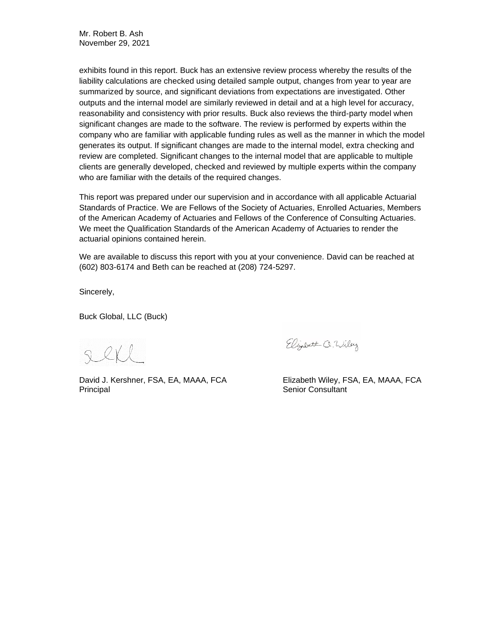Mr. Robert B. Ash November 29, 2021

exhibits found in this report. Buck has an extensive review process whereby the results of the liability calculations are checked using detailed sample output, changes from year to year are summarized by source, and significant deviations from expectations are investigated. Other outputs and the internal model are similarly reviewed in detail and at a high level for accuracy, reasonability and consistency with prior results. Buck also reviews the third-party model when significant changes are made to the software. The review is performed by experts within the company who are familiar with applicable funding rules as well as the manner in which the model generates its output. If significant changes are made to the internal model, extra checking and review are completed. Significant changes to the internal model that are applicable to multiple clients are generally developed, checked and reviewed by multiple experts within the company who are familiar with the details of the required changes.

This report was prepared under our supervision and in accordance with all applicable Actuarial Standards of Practice. We are Fellows of the Society of Actuaries, Enrolled Actuaries, Members of the American Academy of Actuaries and Fellows of the Conference of Consulting Actuaries. We meet the Qualification Standards of the American Academy of Actuaries to render the actuarial opinions contained herein.

We are available to discuss this report with you at your convenience. David can be reached at (602) 803-6174 and Beth can be reached at (208) 724-5297.

Sincerely,

Buck Global, LLC (Buck)

 $Q(X)$ 

David J. Kershner, FSA, EA, MAAA, FCA Elizabeth Wiley, FSA, EA, MAAA, FCA Principal **Senior Consultant** 

Elizabeth Q. Wiley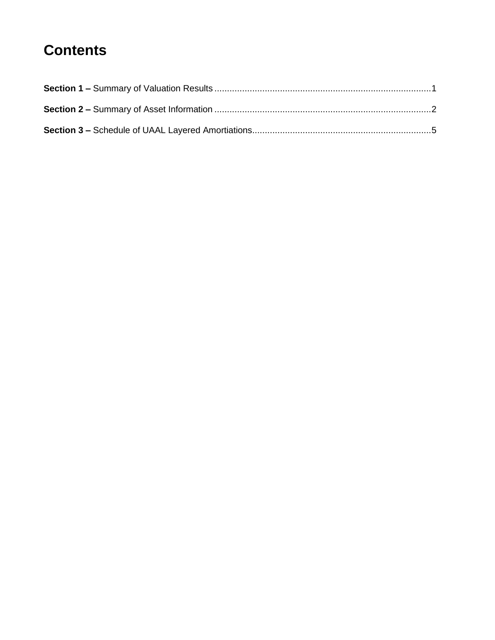## **Contents**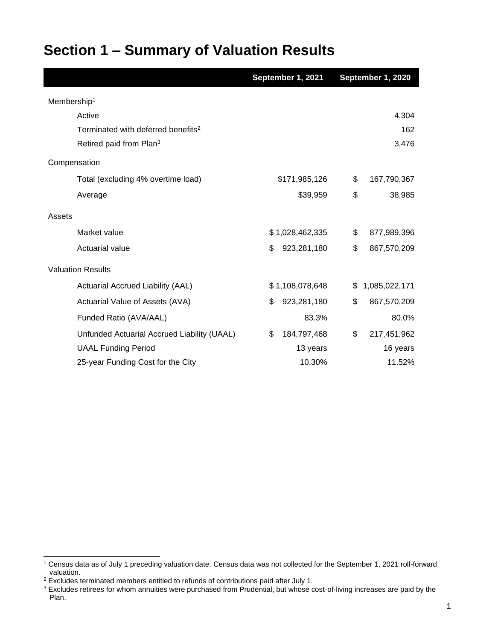| Section 1 – Summary of Valuation Results |
|------------------------------------------|
|------------------------------------------|

|                                                | September 1, 2021 | September 1, 2020   |
|------------------------------------------------|-------------------|---------------------|
| Membership <sup>1</sup>                        |                   |                     |
| Active                                         |                   | 4,304               |
| Terminated with deferred benefits <sup>2</sup> |                   | 162                 |
| Retired paid from Plan <sup>3</sup>            |                   | 3,476               |
| Compensation                                   |                   |                     |
| Total (excluding 4% overtime load)             | \$171,985,126     | \$<br>167,790,367   |
| Average                                        | \$39,959          | \$<br>38,985        |
| Assets                                         |                   |                     |
| Market value                                   | \$1,028,462,335   | \$<br>877,989,396   |
| Actuarial value                                | 923,281,180<br>\$ | \$<br>867,570,209   |
| <b>Valuation Results</b>                       |                   |                     |
| Actuarial Accrued Liability (AAL)              | \$1,108,078,648   | 1,085,022,171<br>\$ |
| Actuarial Value of Assets (AVA)                | 923,281,180<br>\$ | \$<br>867,570,209   |
| Funded Ratio (AVA/AAL)                         | 83.3%             | 80.0%               |
| Unfunded Actuarial Accrued Liability (UAAL)    | 184,797,468<br>\$ | \$<br>217,451,962   |
| <b>UAAL Funding Period</b>                     | 13 years          | 16 years            |
| 25-year Funding Cost for the City              | 10.30%            | 11.52%              |

<sup>1</sup> Census data as of July 1 preceding valuation date. Census data was not collected for the September 1, 2021 roll-forward valuation.

 $2$  Excludes terminated members entitled to refunds of contributions paid after July 1.

 $3$  Excludes retirees for whom annuities were purchased from Prudential, but whose cost-of-living increases are paid by the Plan.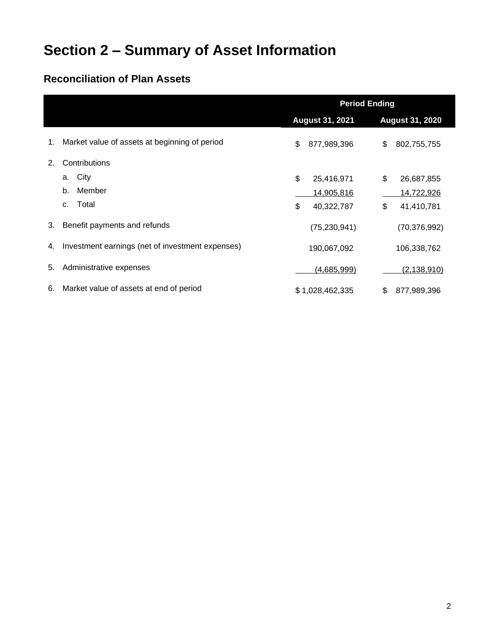# **Section 2 – Summary of Asset Information**

### **Reconciliation of Plan Assets**

|    |                                                  | <b>Period Ending</b>   |                 |    |                        |  |
|----|--------------------------------------------------|------------------------|-----------------|----|------------------------|--|
|    |                                                  | <b>August 31, 2021</b> |                 |    | <b>August 31, 2020</b> |  |
| 1. | Market value of assets at beginning of period    | \$                     | 877,989,396     | \$ | 802,755,755            |  |
| 2. | Contributions                                    |                        |                 |    |                        |  |
|    | City<br>a.                                       | \$                     | 25,416,971      | \$ | 26,687,855             |  |
|    | Member<br>b.                                     |                        | 14,905,816      |    | 14,722,926             |  |
|    | Total<br>C.                                      | \$                     | 40,322,787      | \$ | 41,410,781             |  |
| 3. | Benefit payments and refunds                     |                        | (75, 230, 941)  |    | (70, 376, 992)         |  |
| 4. | Investment earnings (net of investment expenses) |                        | 190,067,092     |    | 106,338,762            |  |
| 5. | Administrative expenses                          |                        | (4,685,999)     |    | (2, 138, 910)          |  |
| 6. | Market value of assets at end of period          |                        | \$1,028,462,335 | \$ | 877,989,396            |  |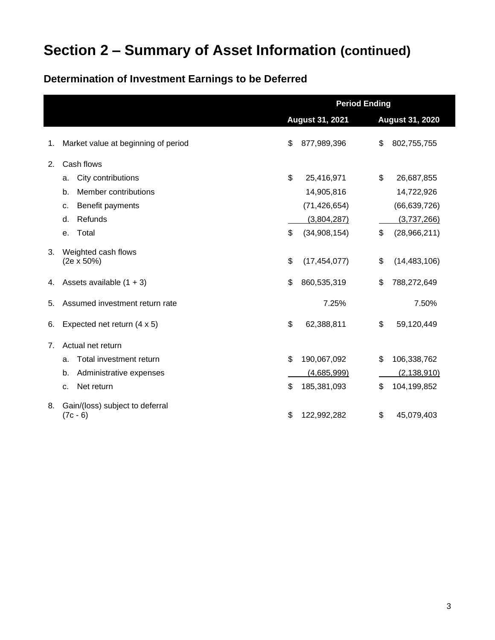# **Section 2 – Summary of Asset Information (continued)**

### **Determination of Investment Earnings to be Deferred**

|    |                                             | <b>Period Ending</b>   |                |    |                        |  |  |
|----|---------------------------------------------|------------------------|----------------|----|------------------------|--|--|
|    |                                             | <b>August 31, 2021</b> |                |    | <b>August 31, 2020</b> |  |  |
| 1. | Market value at beginning of period         | \$                     | 877,989,396    | \$ | 802,755,755            |  |  |
| 2. | Cash flows                                  |                        |                |    |                        |  |  |
|    | City contributions<br>a.                    | \$                     | 25,416,971     | \$ | 26,687,855             |  |  |
|    | Member contributions<br>b.                  |                        | 14,905,816     |    | 14,722,926             |  |  |
|    | Benefit payments<br>c.                      |                        | (71, 426, 654) |    | (66, 639, 726)         |  |  |
|    | Refunds<br>d.                               |                        | (3,804,287)    |    | (3,737,266)            |  |  |
|    | Total<br>е.                                 | \$                     | (34,908,154)   | \$ | (28,966,211)           |  |  |
| 3. | Weighted cash flows<br>$(2e \times 50\%)$   | \$                     | (17, 454, 077) | \$ | (14, 483, 106)         |  |  |
| 4. | Assets available $(1 + 3)$                  | \$                     | 860,535,319    | \$ | 788,272,649            |  |  |
| 5. | Assumed investment return rate              |                        | 7.25%          |    | 7.50%                  |  |  |
| 6. | Expected net return (4 x 5)                 | \$                     | 62,388,811     | \$ | 59,120,449             |  |  |
| 7. | Actual net return                           |                        |                |    |                        |  |  |
|    | Total investment return<br>a.               | \$                     | 190,067,092    | \$ | 106,338,762            |  |  |
|    | Administrative expenses<br>b.               |                        | (4,685,999)    |    | (2, 138, 910)          |  |  |
|    | Net return<br>c.                            | \$                     | 185,381,093    | \$ | 104,199,852            |  |  |
| 8. | Gain/(loss) subject to deferral<br>(7c - 6) | \$                     | 122,992,282    | \$ | 45,079,403             |  |  |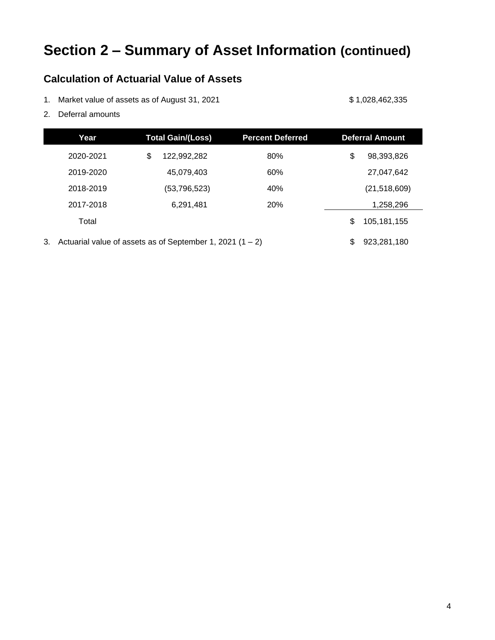# **Section 2 – Summary of Asset Information (continued)**

#### **Calculation of Actuarial Value of Assets**

- 1. Market value of assets as of August 31, 2021 \$ 1,028,462,335
	-

2. Deferral amounts

|                                                                   | <b>Total Gain/(Loss)</b><br><b>Percent Deferred</b><br>Year |    |             | <b>Deferral Amount</b> |    |                |
|-------------------------------------------------------------------|-------------------------------------------------------------|----|-------------|------------------------|----|----------------|
|                                                                   | 2020-2021                                                   | \$ | 122.992.282 | 80%                    | \$ | 98,393,826     |
|                                                                   | 2019-2020                                                   |    | 45,079,403  | 60%                    |    | 27,047,642     |
| 40%<br>2018-2019<br>(53, 796, 523)                                |                                                             |    |             |                        |    | (21, 518, 609) |
|                                                                   | 2017-2018                                                   |    | 6,291,481   | 20%                    |    | 1,258,296      |
| Total                                                             |                                                             |    |             |                        |    | 105,181,155    |
| Actuarial value of assets as of September 1, 2021 $(1 – 2)$<br>3. |                                                             |    |             |                        | \$ | 923,281,180    |